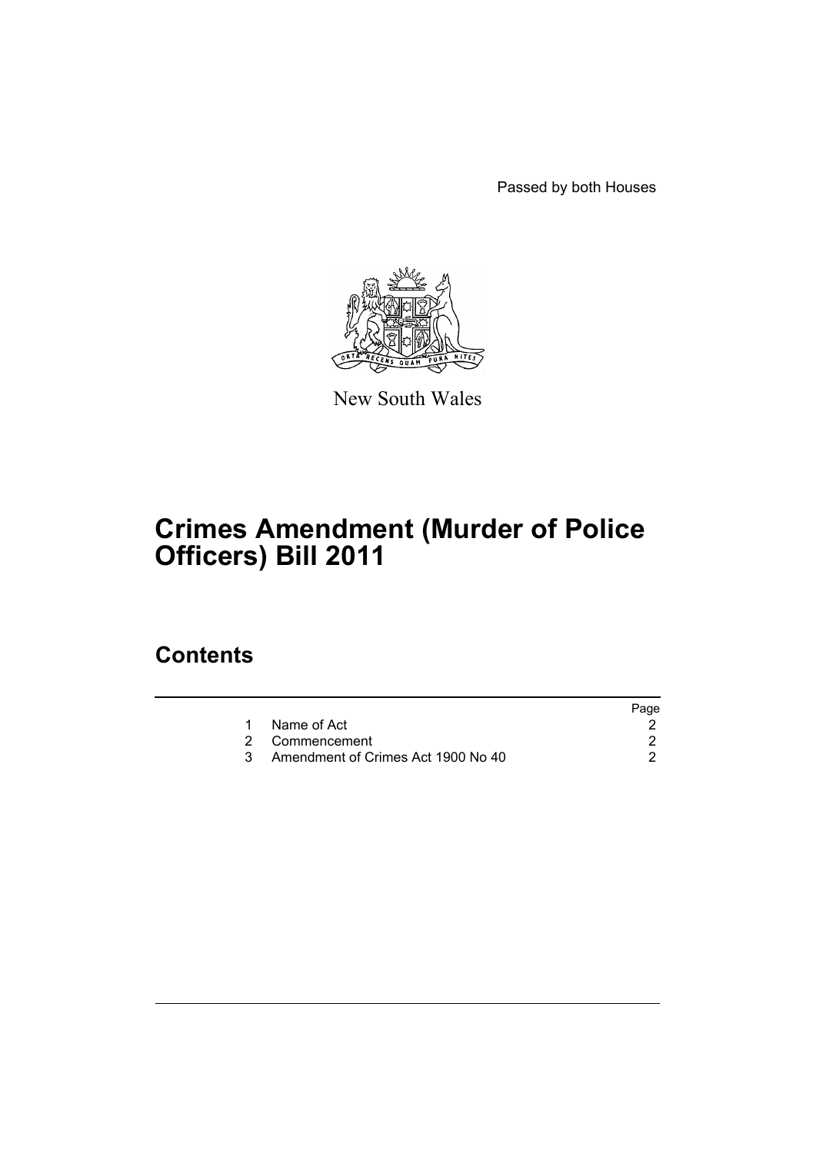Passed by both Houses



New South Wales

# **Crimes Amendment (Murder of Police Officers) Bill 2011**

### **Contents**

|                                    | Page |
|------------------------------------|------|
| Name of Act                        |      |
| 2 Commencement                     |      |
| Amendment of Crimes Act 1900 No 40 |      |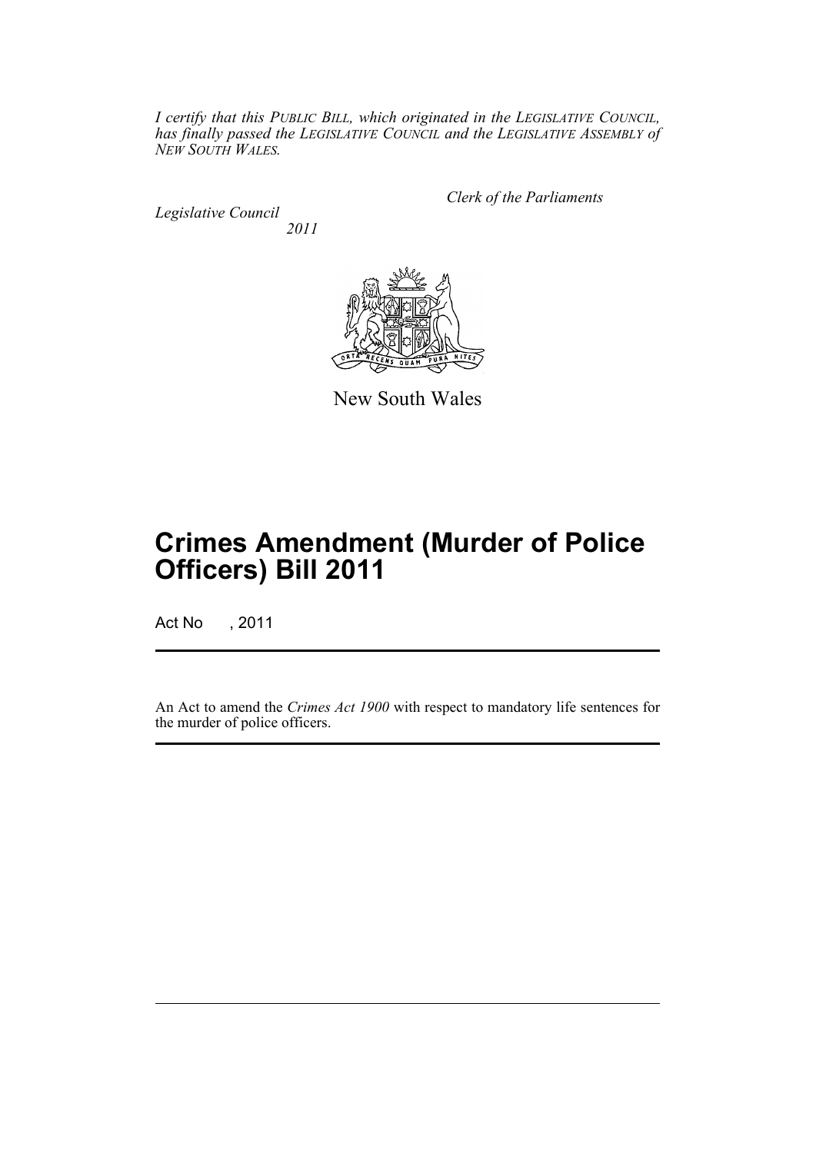*I certify that this PUBLIC BILL, which originated in the LEGISLATIVE COUNCIL, has finally passed the LEGISLATIVE COUNCIL and the LEGISLATIVE ASSEMBLY of NEW SOUTH WALES.*

*Legislative Council 2011* *Clerk of the Parliaments*



New South Wales

# **Crimes Amendment (Murder of Police Officers) Bill 2011**

Act No , 2011

An Act to amend the *Crimes Act 1900* with respect to mandatory life sentences for the murder of police officers.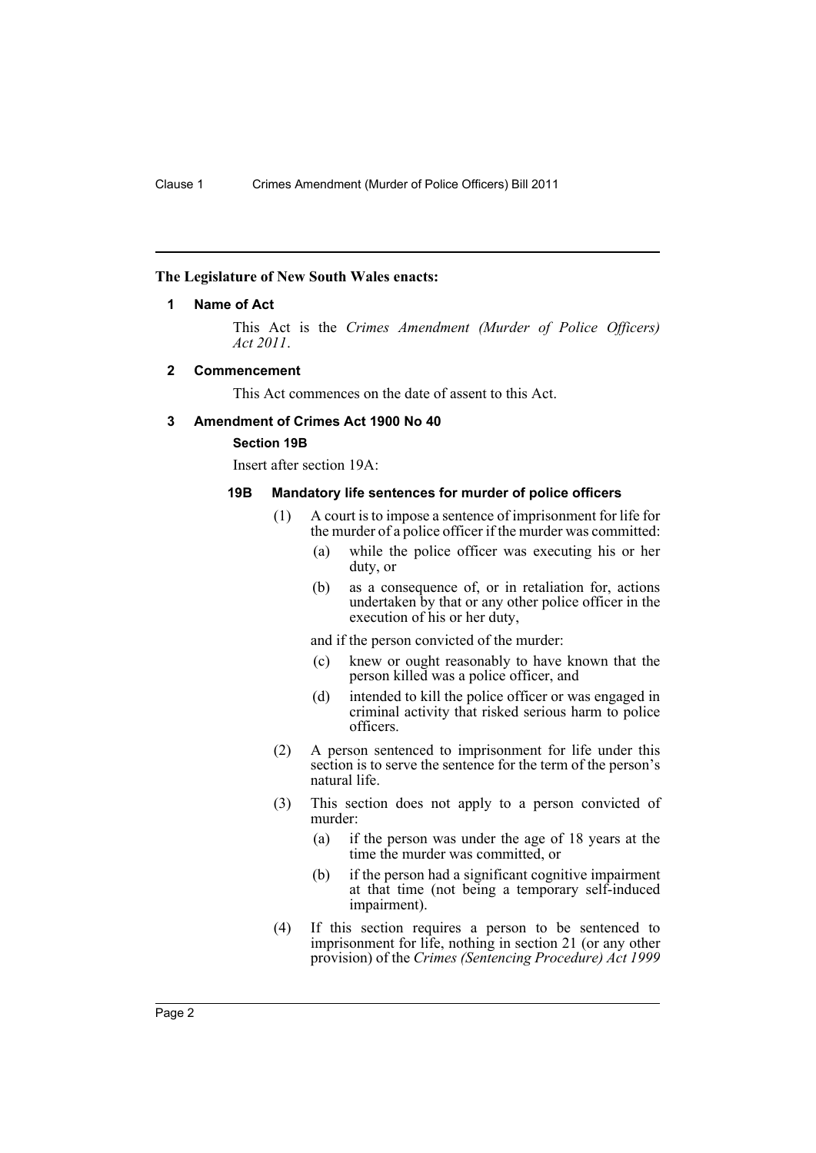#### <span id="page-3-0"></span>**The Legislature of New South Wales enacts:**

#### **1 Name of Act**

This Act is the *Crimes Amendment (Murder of Police Officers) Act 2011*.

#### <span id="page-3-1"></span>**2 Commencement**

This Act commences on the date of assent to this Act.

#### <span id="page-3-2"></span>**3 Amendment of Crimes Act 1900 No 40**

### **Section 19B**

Insert after section 19A:

#### **19B Mandatory life sentences for murder of police officers**

- (1) A court is to impose a sentence of imprisonment for life for the murder of a police officer if the murder was committed:
	- (a) while the police officer was executing his or her duty, or
	- (b) as a consequence of, or in retaliation for, actions undertaken by that or any other police officer in the execution of his or her duty,

and if the person convicted of the murder:

- (c) knew or ought reasonably to have known that the person killed was a police officer, and
- (d) intended to kill the police officer or was engaged in criminal activity that risked serious harm to police officers.
- (2) A person sentenced to imprisonment for life under this section is to serve the sentence for the term of the person's natural life.
- (3) This section does not apply to a person convicted of murder:
	- (a) if the person was under the age of 18 years at the time the murder was committed, or
	- (b) if the person had a significant cognitive impairment at that time (not being a temporary self-induced impairment).
- (4) If this section requires a person to be sentenced to imprisonment for life, nothing in section 21 (or any other provision) of the *Crimes (Sentencing Procedure) Act 1999*